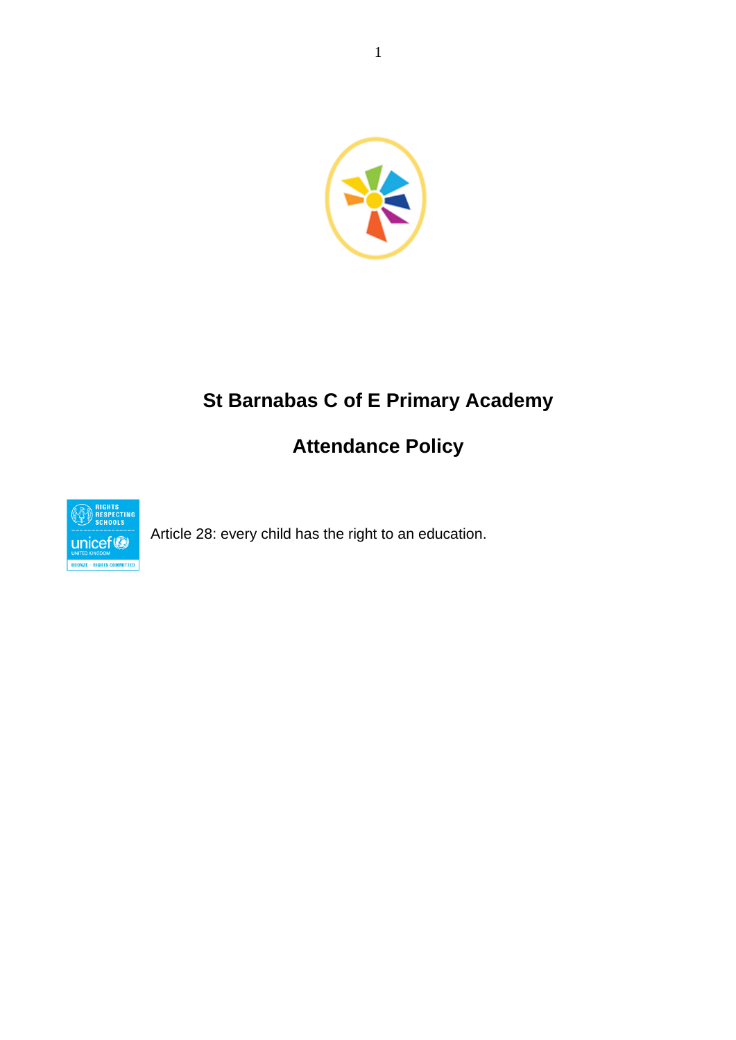

# **St Barnabas C of E Primary Academy**

# **Attendance Policy**



Article 28: every child has the right to an education.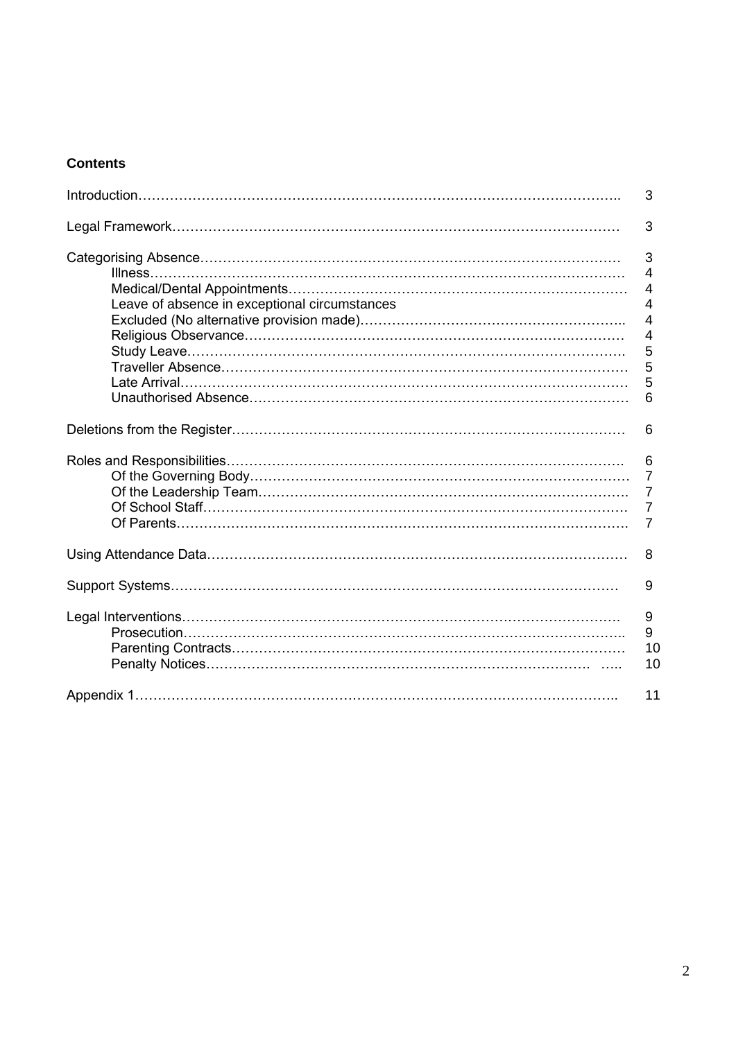# **Contents**

|                                               | 3                                                            |
|-----------------------------------------------|--------------------------------------------------------------|
|                                               | 3                                                            |
| Leave of absence in exceptional circumstances | 3<br>4<br>4<br>4<br>4<br>4<br>5<br>5<br>5<br>6               |
|                                               | 6                                                            |
|                                               | 6<br>$\overline{7}$<br>$\overline{7}$<br>$\overline{7}$<br>7 |
|                                               | 8                                                            |
|                                               | 9                                                            |
|                                               | 9<br>9<br>10<br>10                                           |
|                                               | 11                                                           |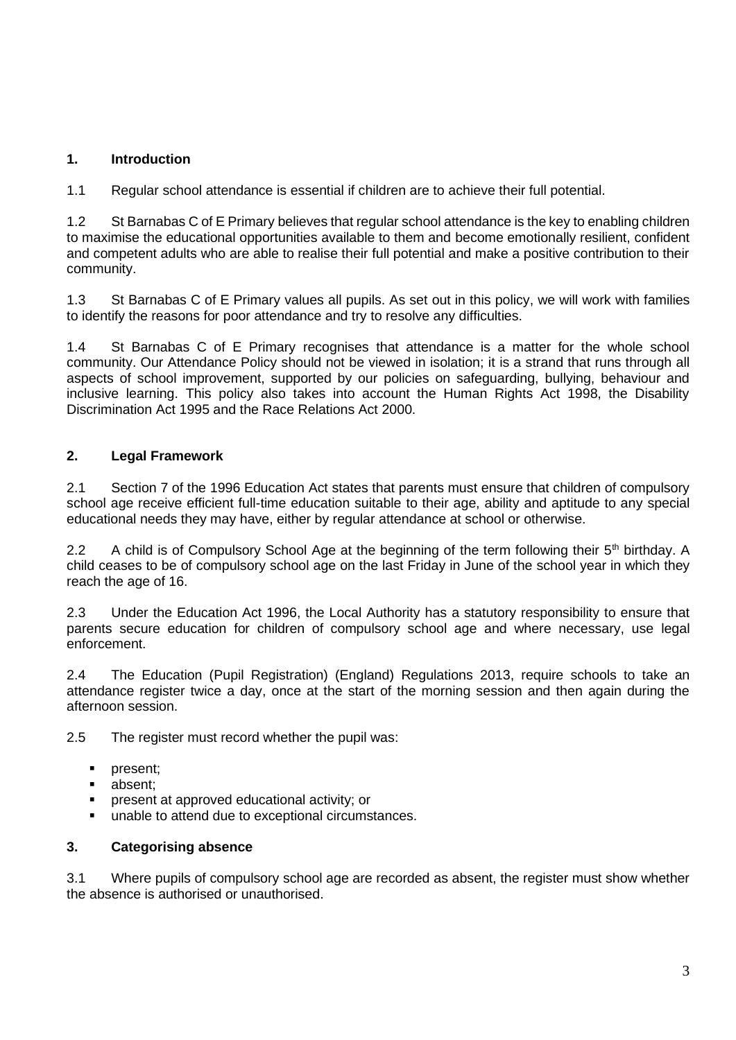# **1. Introduction**

1.1 Regular school attendance is essential if children are to achieve their full potential.

1.2 St Barnabas C of E Primary believes that regular school attendance is the key to enabling children to maximise the educational opportunities available to them and become emotionally resilient, confident and competent adults who are able to realise their full potential and make a positive contribution to their community.

1.3 St Barnabas C of E Primary values all pupils. As set out in this policy, we will work with families to identify the reasons for poor attendance and try to resolve any difficulties.

1.4 St Barnabas C of E Primary recognises that attendance is a matter for the whole school community. Our Attendance Policy should not be viewed in isolation; it is a strand that runs through all aspects of school improvement, supported by our policies on safeguarding, bullying, behaviour and inclusive learning. This policy also takes into account the Human Rights Act 1998, the Disability Discrimination Act 1995 and the Race Relations Act 2000.

## **2. Legal Framework**

2.1 Section 7 of the 1996 Education Act states that parents must ensure that children of compulsory school age receive efficient full-time education suitable to their age, ability and aptitude to any special educational needs they may have, either by regular attendance at school or otherwise.

2.2 A child is of Compulsory School Age at the beginning of the term following their 5<sup>th</sup> birthday. A child ceases to be of compulsory school age on the last Friday in June of the school year in which they reach the age of 16.

2.3 Under the Education Act 1996, the Local Authority has a statutory responsibility to ensure that parents secure education for children of compulsory school age and where necessary, use legal enforcement.

2.4 The Education (Pupil Registration) (England) Regulations 2013, require schools to take an attendance register twice a day, once at the start of the morning session and then again during the afternoon session.

2.5 The register must record whether the pupil was:

- present:
- absent:
- present at approved educational activity; or
- unable to attend due to exceptional circumstances.

#### **3. Categorising absence**

3.1 Where pupils of compulsory school age are recorded as absent, the register must show whether the absence is authorised or unauthorised.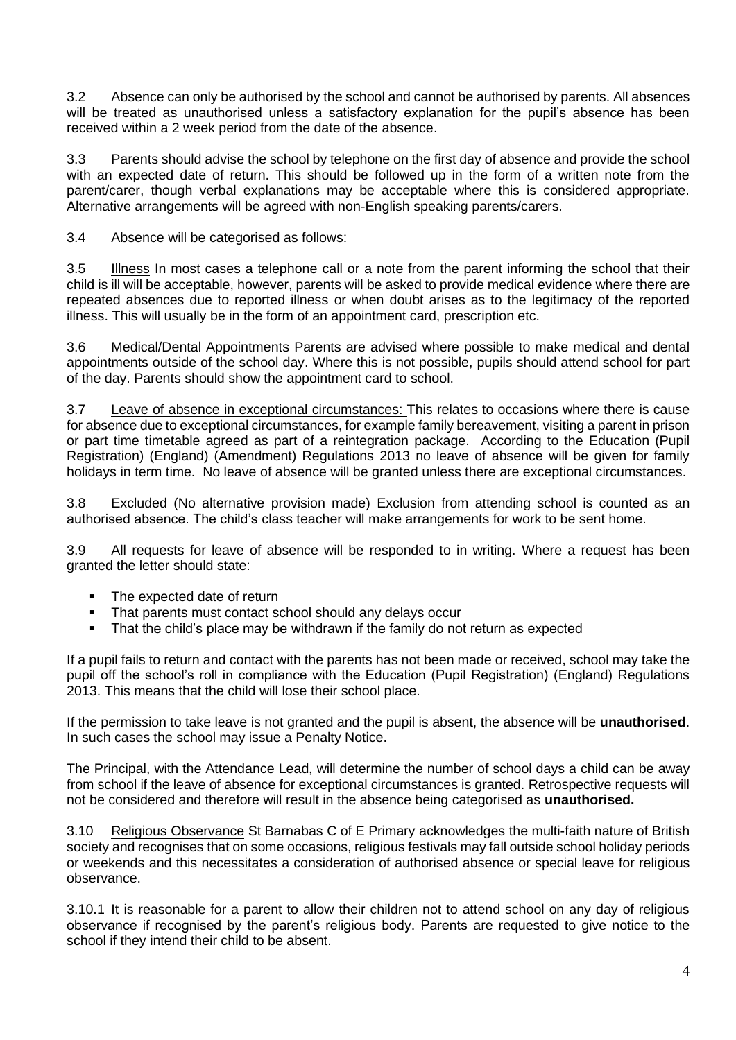3.2 Absence can only be authorised by the school and cannot be authorised by parents. All absences will be treated as unauthorised unless a satisfactory explanation for the pupil's absence has been received within a 2 week period from the date of the absence.

3.3 Parents should advise the school by telephone on the first day of absence and provide the school with an expected date of return. This should be followed up in the form of a written note from the parent/carer, though verbal explanations may be acceptable where this is considered appropriate. Alternative arrangements will be agreed with non-English speaking parents/carers.

3.4 Absence will be categorised as follows:

3.5 Illness In most cases a telephone call or a note from the parent informing the school that their child is ill will be acceptable, however, parents will be asked to provide medical evidence where there are repeated absences due to reported illness or when doubt arises as to the legitimacy of the reported illness. This will usually be in the form of an appointment card, prescription etc.

3.6 Medical/Dental Appointments Parents are advised where possible to make medical and dental appointments outside of the school day. Where this is not possible, pupils should attend school for part of the day. Parents should show the appointment card to school.

3.7 Leave of absence in exceptional circumstances: This relates to occasions where there is cause for absence due to exceptional circumstances, for example family bereavement, visiting a parent in prison or part time timetable agreed as part of a reintegration package.According to the Education (Pupil Registration) (England) (Amendment) Regulations 2013 no leave of absence will be given for family holidays in term time. No leave of absence will be granted unless there are exceptional circumstances.

3.8 Excluded (No alternative provision made) Exclusion from attending school is counted as an authorised absence. The child's class teacher will make arrangements for work to be sent home.

3.9 All requests for leave of absence will be responded to in writing. Where a request has been granted the letter should state:

- The expected date of return
- **•** That parents must contact school should any delays occur
- That the child's place may be withdrawn if the family do not return as expected

If a pupil fails to return and contact with the parents has not been made or received, school may take the pupil off the school's roll in compliance with the Education (Pupil Registration) (England) Regulations 2013. This means that the child will lose their school place.

If the permission to take leave is not granted and the pupil is absent, the absence will be **unauthorised**. In such cases the school may issue a Penalty Notice.

The Principal, with the Attendance Lead, will determine the number of school days a child can be away from school if the leave of absence for exceptional circumstances is granted. Retrospective requests will not be considered and therefore will result in the absence being categorised as **unauthorised.** 

3.10 Religious Observance St Barnabas C of E Primary acknowledges the multi-faith nature of British society and recognises that on some occasions, religious festivals may fall outside school holiday periods or weekends and this necessitates a consideration of authorised absence or special leave for religious observance.

3.10.1 It is reasonable for a parent to allow their children not to attend school on any day of religious observance if recognised by the parent's religious body. Parents are requested to give notice to the school if they intend their child to be absent.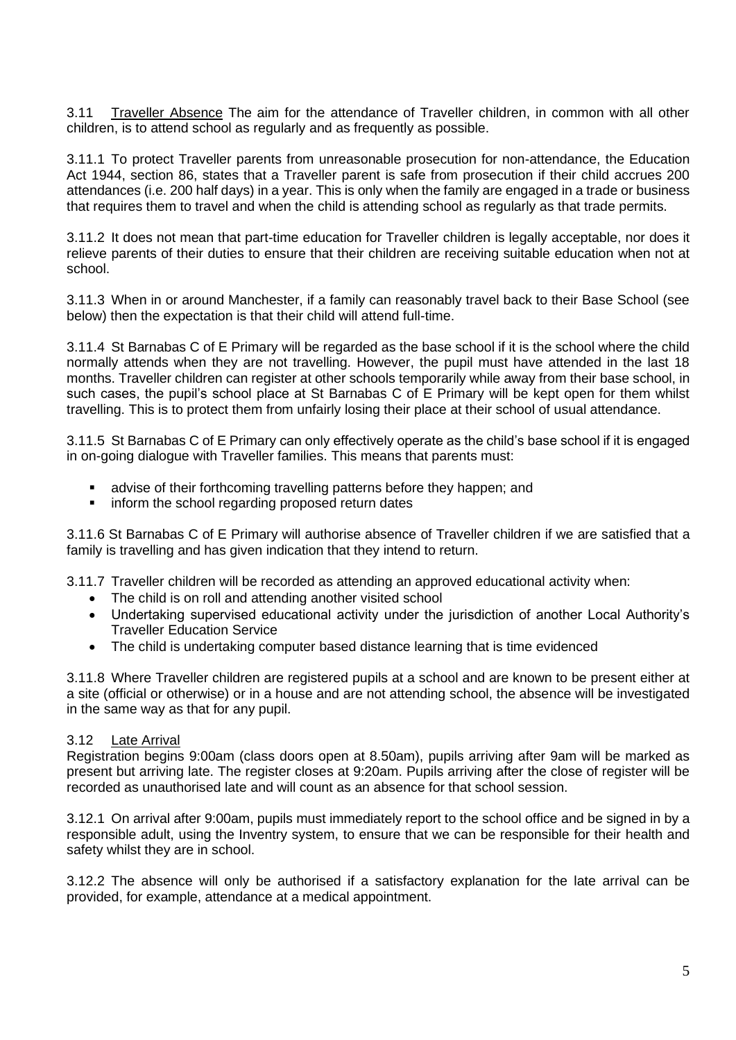3.11 Traveller Absence The aim for the attendance of Traveller children, in common with all other children, is to attend school as regularly and as frequently as possible.

3.11.1 To protect Traveller parents from unreasonable prosecution for non-attendance, the Education Act 1944, section 86, states that a Traveller parent is safe from prosecution if their child accrues 200 attendances (i.e. 200 half days) in a year. This is only when the family are engaged in a trade or business that requires them to travel and when the child is attending school as regularly as that trade permits.

3.11.2 It does not mean that part-time education for Traveller children is legally acceptable, nor does it relieve parents of their duties to ensure that their children are receiving suitable education when not at school.

3.11.3 When in or around Manchester, if a family can reasonably travel back to their Base School (see below) then the expectation is that their child will attend full-time.

3.11.4 St Barnabas C of E Primary will be regarded as the base school if it is the school where the child normally attends when they are not travelling. However, the pupil must have attended in the last 18 months. Traveller children can register at other schools temporarily while away from their base school, in such cases, the pupil's school place at St Barnabas C of E Primary will be kept open for them whilst travelling. This is to protect them from unfairly losing their place at their school of usual attendance.

3.11.5 St Barnabas C of E Primary can only effectively operate as the child's base school if it is engaged in on-going dialogue with Traveller families. This means that parents must:

- advise of their forthcoming travelling patterns before they happen; and
- **•** inform the school regarding proposed return dates

3.11.6 St Barnabas C of E Primary will authorise absence of Traveller children if we are satisfied that a family is travelling and has given indication that they intend to return.

3.11.7 Traveller children will be recorded as attending an approved educational activity when:

- The child is on roll and attending another visited school
- Undertaking supervised educational activity under the jurisdiction of another Local Authority's Traveller Education Service
- The child is undertaking computer based distance learning that is time evidenced

3.11.8 Where Traveller children are registered pupils at a school and are known to be present either at a site (official or otherwise) or in a house and are not attending school, the absence will be investigated in the same way as that for any pupil.

#### 3.12 Late Arrival

Registration begins 9:00am (class doors open at 8.50am), pupils arriving after 9am will be marked as present but arriving late. The register closes at 9:20am. Pupils arriving after the close of register will be recorded as unauthorised late and will count as an absence for that school session.

3.12.1 On arrival after 9:00am, pupils must immediately report to the school office and be signed in by a responsible adult, using the Inventry system, to ensure that we can be responsible for their health and safety whilst they are in school.

3.12.2 The absence will only be authorised if a satisfactory explanation for the late arrival can be provided, for example, attendance at a medical appointment.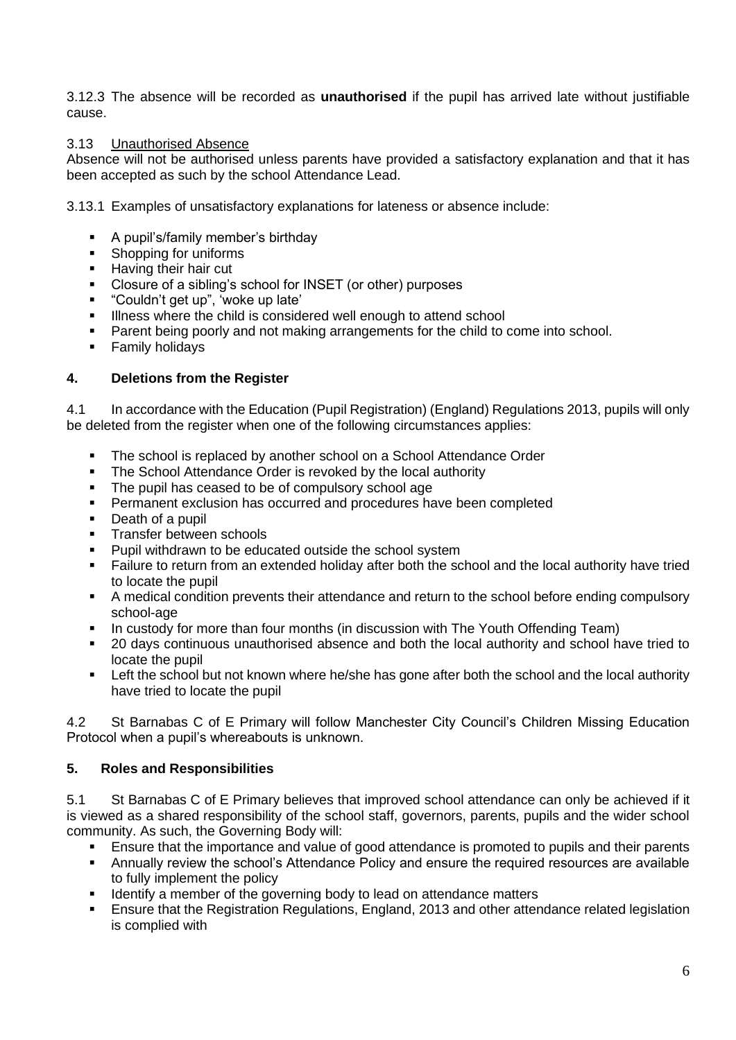3.12.3 The absence will be recorded as **unauthorised** if the pupil has arrived late without justifiable cause.

#### 3.13 Unauthorised Absence

Absence will not be authorised unless parents have provided a satisfactory explanation and that it has been accepted as such by the school Attendance Lead.

3.13.1 Examples of unsatisfactory explanations for lateness or absence include:

- A pupil's/family member's birthday
- Shopping for uniforms
- Having their hair cut<br>■ Closure of a sibling's
- Closure of a sibling's school for INSET (or other) purposes
- "Couldn't get up", 'woke up late'
- **EXECT** Illness where the child is considered well enough to attend school
- Parent being poorly and not making arrangements for the child to come into school.
- **Examily holidays**

#### **4. Deletions from the Register**

4.1 In accordance with the Education (Pupil Registration) (England) Regulations 2013, pupils will only be deleted from the register when one of the following circumstances applies:

- The school is replaced by another school on a School Attendance Order
- The School Attendance Order is revoked by the local authority
- The pupil has ceased to be of compulsory school age
- **•** Permanent exclusion has occurred and procedures have been completed
- Death of a pupil
- **E** Transfer between schools<br>**Punil withdrawn to be edu**
- Pupil withdrawn to be educated outside the school system
- Failure to return from an extended holiday after both the school and the local authority have tried to locate the pupil
- A medical condition prevents their attendance and return to the school before ending compulsory school-age
- **•** In custody for more than four months (in discussion with The Youth Offending Team)
- 20 days continuous unauthorised absence and both the local authority and school have tried to locate the pupil
- **EXECT Left the school but not known where he/she has gone after both the school and the local authority** have tried to locate the pupil

4.2 St Barnabas C of E Primary will follow Manchester City Council's Children Missing Education Protocol when a pupil's whereabouts is unknown.

#### **5. Roles and Responsibilities**

5.1 St Barnabas C of E Primary believes that improved school attendance can only be achieved if it is viewed as a shared responsibility of the school staff, governors, parents, pupils and the wider school community. As such, the Governing Body will:

- Ensure that the importance and value of good attendance is promoted to pupils and their parents
- **•** Annually review the school's Attendance Policy and ensure the required resources are available to fully implement the policy
- Identify a member of the governing body to lead on attendance matters
- Ensure that the Registration Regulations, England, 2013 and other attendance related legislation is complied with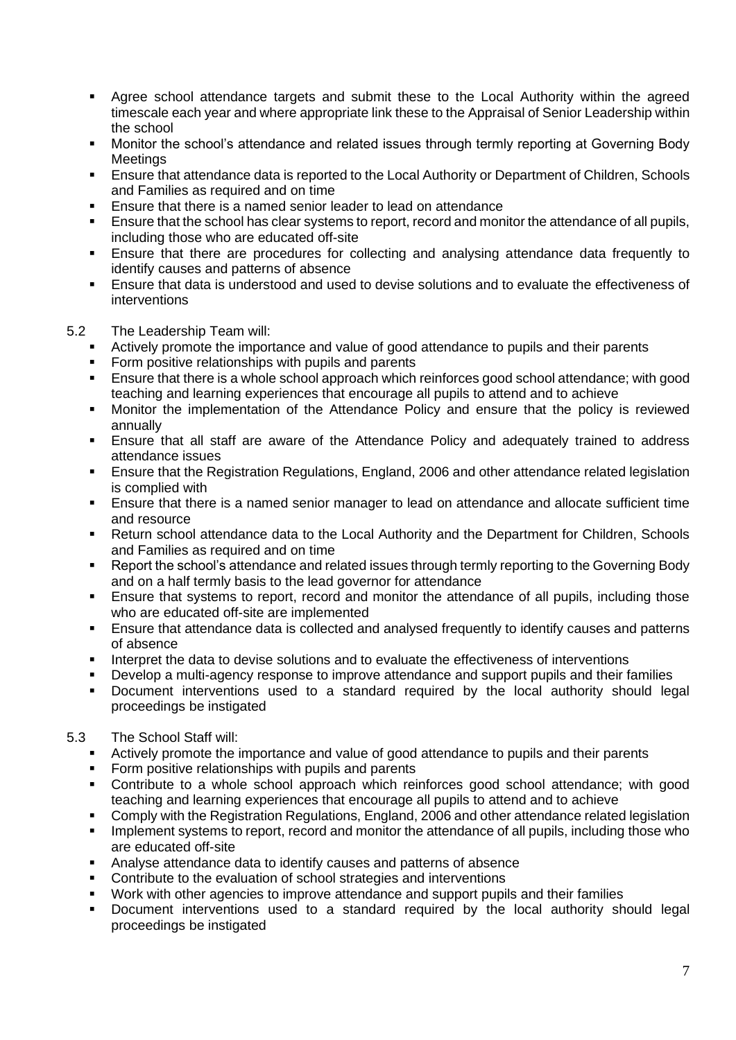- Agree school attendance targets and submit these to the Local Authority within the agreed timescale each year and where appropriate link these to the Appraisal of Senior Leadership within the school
- Monitor the school's attendance and related issues through termly reporting at Governing Body **Meetings**
- Ensure that attendance data is reported to the Local Authority or Department of Children, Schools and Families as required and on time
- Ensure that there is a named senior leader to lead on attendance
- **Ensure that the school has clear systems to report, record and monitor the attendance of all pupils,** including those who are educated off-site
- **Ensure that there are procedures for collecting and analysing attendance data frequently to** identify causes and patterns of absence
- Ensure that data is understood and used to devise solutions and to evaluate the effectiveness of interventions
- 5.2 The Leadership Team will:
	- Actively promote the importance and value of good attendance to pupils and their parents
	- **•** Form positive relationships with pupils and parents
	- Ensure that there is a whole school approach which reinforces good school attendance; with good teaching and learning experiences that encourage all pupils to attend and to achieve
	- Monitor the implementation of the Attendance Policy and ensure that the policy is reviewed annually
	- **Ensure that all staff are aware of the Attendance Policy and adequately trained to address** attendance issues
	- Ensure that the Registration Regulations, England, 2006 and other attendance related legislation is complied with
	- **Ensure that there is a named senior manager to lead on attendance and allocate sufficient time** and resource
	- Return school attendance data to the Local Authority and the Department for Children, Schools and Families as required and on time
	- Report the school's attendance and related issues through termly reporting to the Governing Body and on a half termly basis to the lead governor for attendance
	- **Ensure that systems to report, record and monitor the attendance of all pupils, including those** who are educated off-site are implemented
	- Ensure that attendance data is collected and analysed frequently to identify causes and patterns of absence
	- Interpret the data to devise solutions and to evaluate the effectiveness of interventions
	- Develop a multi-agency response to improve attendance and support pupils and their families
	- Document interventions used to a standard required by the local authority should legal proceedings be instigated
- 5.3 The School Staff will:
	- **EXECT Actively promote the importance and value of good attendance to pupils and their parents**
	- Form positive relationships with pupils and parents
	- Contribute to a whole school approach which reinforces good school attendance; with good teaching and learning experiences that encourage all pupils to attend and to achieve
	- Comply with the Registration Regulations, England, 2006 and other attendance related legislation **EXECT** Implement systems to report, record and monitor the attendance of all pupils, including those who are educated off-site
	- Analyse attendance data to identify causes and patterns of absence
	- Contribute to the evaluation of school strategies and interventions
	- Work with other agencies to improve attendance and support pupils and their families
	- Document interventions used to a standard required by the local authority should legal proceedings be instigated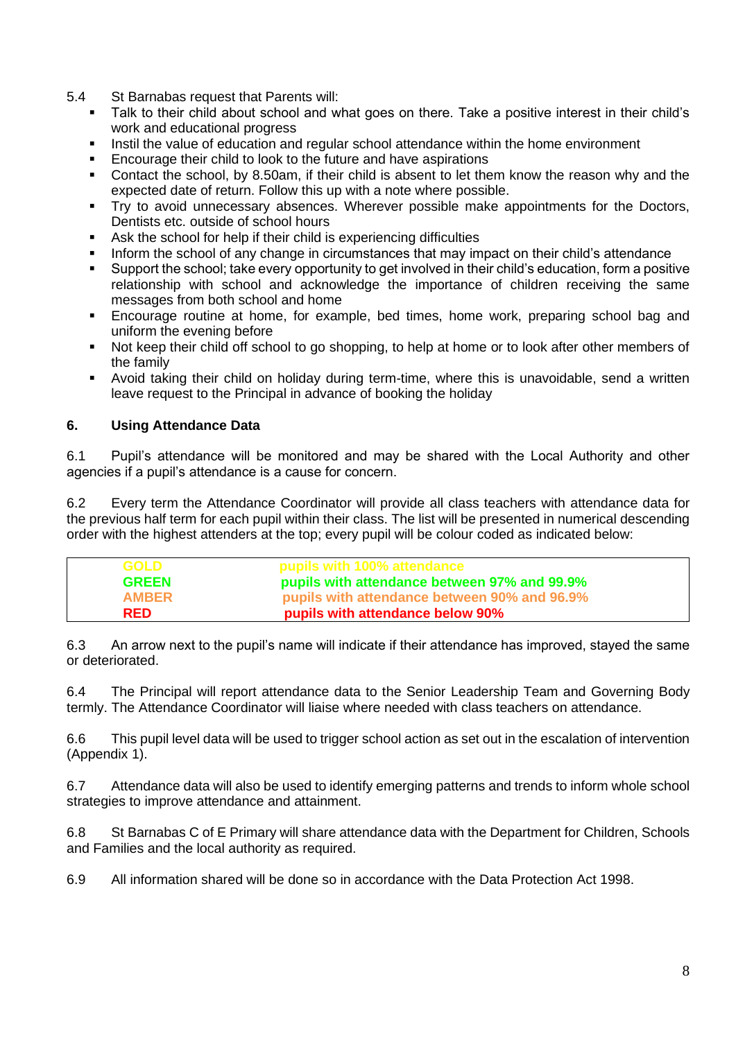- 5.4 St Barnabas request that Parents will:
	- Talk to their child about school and what goes on there. Take a positive interest in their child's work and educational progress
	- Instil the value of education and regular school attendance within the home environment<br>■ Encourage their child to look to the future and have aspirations
	- Encourage their child to look to the future and have aspirations
	- Contact the school, by 8.50am, if their child is absent to let them know the reason why and the expected date of return. Follow this up with a note where possible.
	- **•** Try to avoid unnecessary absences. Wherever possible make appointments for the Doctors, Dentists etc. outside of school hours
	- Ask the school for help if their child is experiencing difficulties
	- Inform the school of any change in circumstances that may impact on their child's attendance
	- Support the school; take every opportunity to get involved in their child's education, form a positive relationship with school and acknowledge the importance of children receiving the same messages from both school and home
	- Encourage routine at home, for example, bed times, home work, preparing school bag and uniform the evening before
	- Not keep their child off school to go shopping, to help at home or to look after other members of the family
	- Avoid taking their child on holiday during term-time, where this is unavoidable, send a written leave request to the Principal in advance of booking the holiday

#### **6. Using Attendance Data**

6.1 Pupil's attendance will be monitored and may be shared with the Local Authority and other agencies if a pupil's attendance is a cause for concern.

6.2 Every term the Attendance Coordinator will provide all class teachers with attendance data for the previous half term for each pupil within their class. The list will be presented in numerical descending order with the highest attenders at the top; every pupil will be colour coded as indicated below:

| <b>GOLD</b>  | pupils with 100% attendance                  |
|--------------|----------------------------------------------|
| <b>GREEN</b> | pupils with attendance between 97% and 99.9% |
| <b>AMBER</b> | pupils with attendance between 90% and 96.9% |
| <b>RED</b>   | pupils with attendance below 90%             |

6.3 An arrow next to the pupil's name will indicate if their attendance has improved, stayed the same or deteriorated.

6.4 The Principal will report attendance data to the Senior Leadership Team and Governing Body termly. The Attendance Coordinator will liaise where needed with class teachers on attendance.

6.6 This pupil level data will be used to trigger school action as set out in the escalation of intervention (Appendix 1).

6.7 Attendance data will also be used to identify emerging patterns and trends to inform whole school strategies to improve attendance and attainment.

6.8 St Barnabas C of E Primary will share attendance data with the Department for Children, Schools and Families and the local authority as required.

6.9 All information shared will be done so in accordance with the Data Protection Act 1998.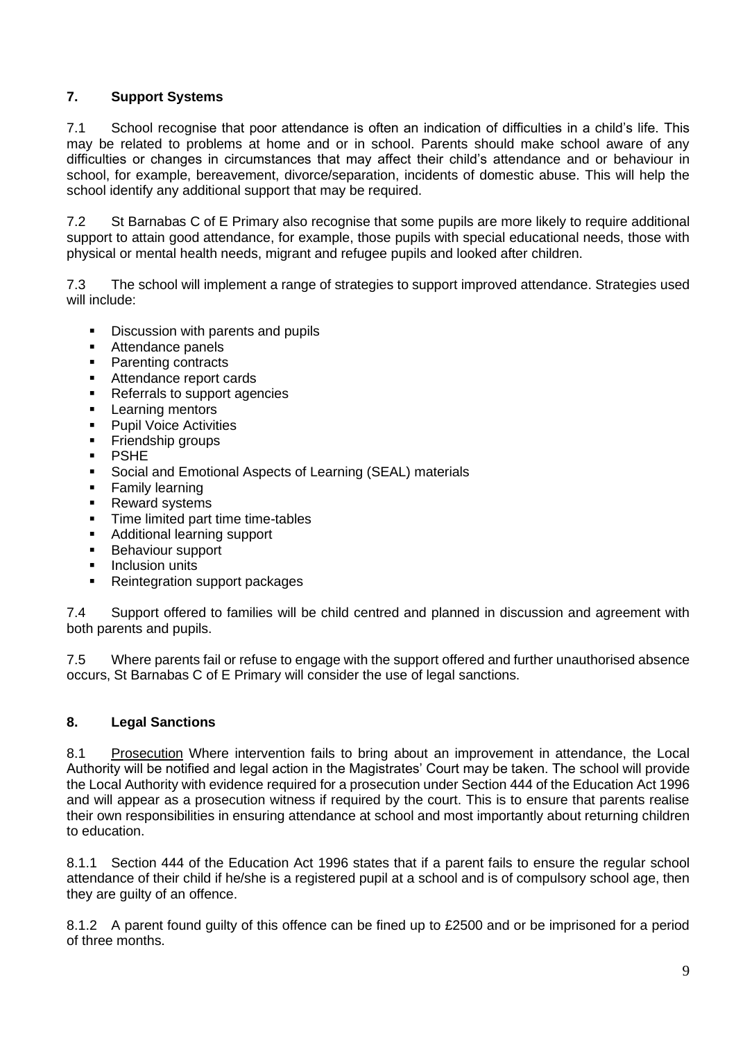# **7. Support Systems**

7.1 School recognise that poor attendance is often an indication of difficulties in a child's life. This may be related to problems at home and or in school. Parents should make school aware of any difficulties or changes in circumstances that may affect their child's attendance and or behaviour in school, for example, bereavement, divorce/separation, incidents of domestic abuse. This will help the school identify any additional support that may be required.

7.2 St Barnabas C of E Primary also recognise that some pupils are more likely to require additional support to attain good attendance, for example, those pupils with special educational needs, those with physical or mental health needs, migrant and refugee pupils and looked after children.

7.3 The school will implement a range of strategies to support improved attendance. Strategies used will include:

- **•** Discussion with parents and pupils
- Attendance panels
- Parenting contracts
- Attendance report cards
- Referrals to support agencies
- **Examing mentors**<br>**Punil Voice Activit**
- **Pupil Voice Activities**
- **•** Friendship groups
- PSHE
- Social and Emotional Aspects of Learning (SEAL) materials
- **•** Family learning
- **Reward systems**
- **·** Time limited part time time-tables
- Additional learning support
- Behaviour support
- **•** Inclusion units
- Reintegration support packages

7.4 Support offered to families will be child centred and planned in discussion and agreement with both parents and pupils.

7.5 Where parents fail or refuse to engage with the support offered and further unauthorised absence occurs, St Barnabas C of E Primary will consider the use of legal sanctions.

#### **8. Legal Sanctions**

8.1 Prosecution Where intervention fails to bring about an improvement in attendance, the Local Authority will be notified and legal action in the Magistrates' Court may be taken. The school will provide the Local Authority with evidence required for a prosecution under Section 444 of the Education Act 1996 and will appear as a prosecution witness if required by the court. This is to ensure that parents realise their own responsibilities in ensuring attendance at school and most importantly about returning children to education.

8.1.1 Section 444 of the Education Act 1996 states that if a parent fails to ensure the regular school attendance of their child if he/she is a registered pupil at a school and is of compulsory school age, then they are quilty of an offence.

8.1.2 A parent found guilty of this offence can be fined up to £2500 and or be imprisoned for a period of three months.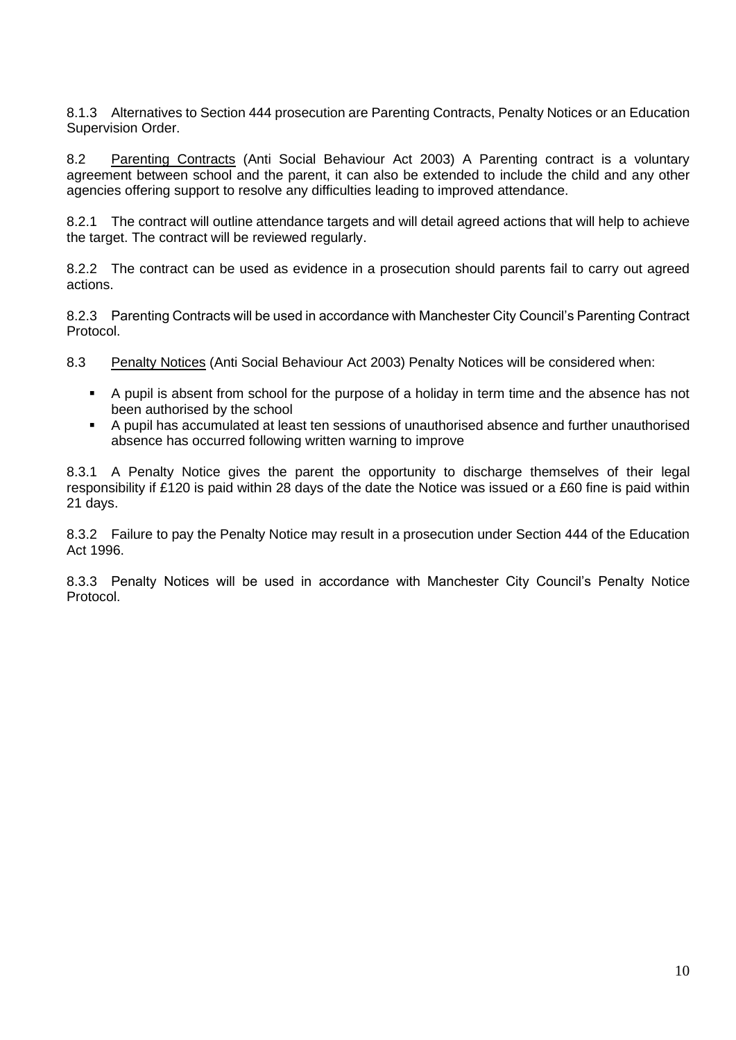8.1.3 Alternatives to Section 444 prosecution are Parenting Contracts, Penalty Notices or an Education Supervision Order.

8.2 Parenting Contracts (Anti Social Behaviour Act 2003) A Parenting contract is a voluntary agreement between school and the parent, it can also be extended to include the child and any other agencies offering support to resolve any difficulties leading to improved attendance.

8.2.1 The contract will outline attendance targets and will detail agreed actions that will help to achieve the target. The contract will be reviewed regularly.

8.2.2 The contract can be used as evidence in a prosecution should parents fail to carry out agreed actions.

8.2.3 Parenting Contracts will be used in accordance with Manchester City Council's Parenting Contract Protocol.

8.3 Penalty Notices (Anti Social Behaviour Act 2003) Penalty Notices will be considered when:

- A pupil is absent from school for the purpose of a holiday in term time and the absence has not been authorised by the school
- A pupil has accumulated at least ten sessions of unauthorised absence and further unauthorised absence has occurred following written warning to improve

8.3.1 A Penalty Notice gives the parent the opportunity to discharge themselves of their legal responsibility if £120 is paid within 28 days of the date the Notice was issued or a £60 fine is paid within 21 days.

8.3.2 Failure to pay the Penalty Notice may result in a prosecution under Section 444 of the Education Act 1996.

8.3.3 Penalty Notices will be used in accordance with Manchester City Council's Penalty Notice Protocol.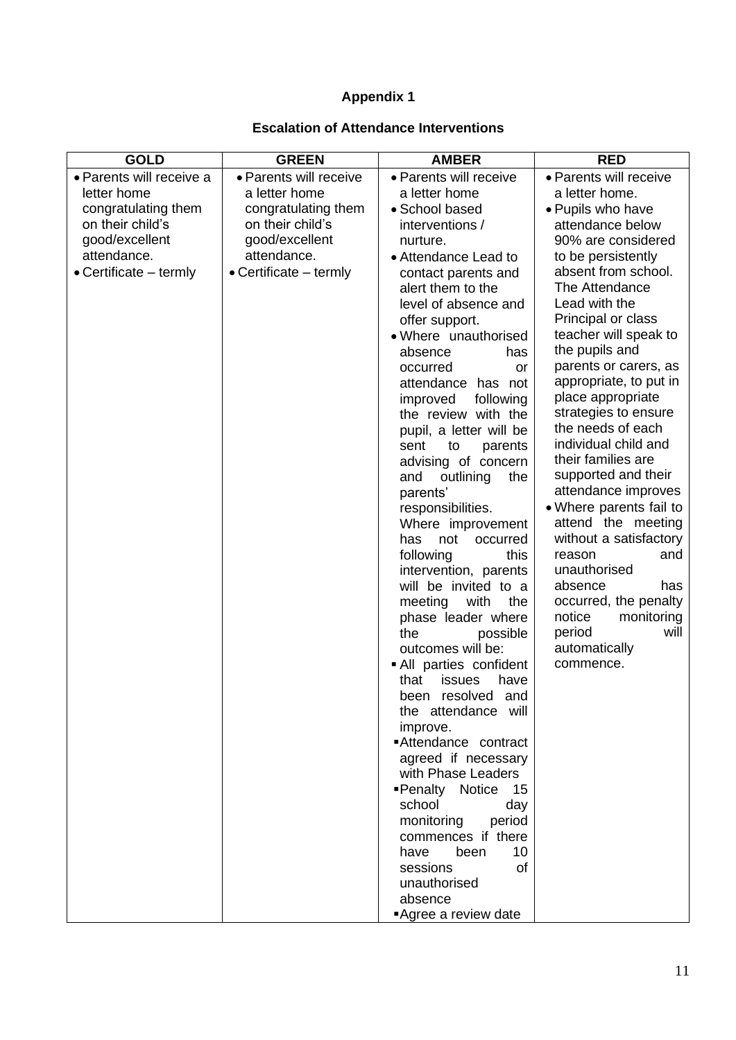# **Appendix 1**

# **Escalation of Attendance Interventions**

| <b>GOLD</b>                      | <b>GREEN</b>                     | <b>AMBER</b>                  | <b>RED</b>                                    |
|----------------------------------|----------------------------------|-------------------------------|-----------------------------------------------|
| • Parents will receive a         | • Parents will receive           | • Parents will receive        | • Parents will receive                        |
| letter home                      | a letter home                    | a letter home                 | a letter home.                                |
| congratulating them              | congratulating them              | • School based                | • Pupils who have                             |
| on their child's                 | on their child's                 | interventions /               | attendance below                              |
| good/excellent                   | good/excellent                   | nurture.                      | 90% are considered                            |
| attendance.                      | attendance.                      | • Attendance Lead to          | to be persistently                            |
| $\bullet$ Certificate $-$ termly | $\bullet$ Certificate $-$ termly | contact parents and           | absent from school.                           |
|                                  |                                  | alert them to the             | The Attendance                                |
|                                  |                                  | level of absence and          | Lead with the                                 |
|                                  |                                  | offer support.                | Principal or class                            |
|                                  |                                  | • Where unauthorised          | teacher will speak to                         |
|                                  |                                  | absence<br>has                | the pupils and                                |
|                                  |                                  | occurred<br><b>or</b>         | parents or carers, as                         |
|                                  |                                  | attendance has not            | appropriate, to put in                        |
|                                  |                                  | improved<br>following         | place appropriate                             |
|                                  |                                  | the review with the           | strategies to ensure                          |
|                                  |                                  | pupil, a letter will be       | the needs of each                             |
|                                  |                                  | sent<br>to<br>parents         | individual child and                          |
|                                  |                                  | advising of concern           | their families are                            |
|                                  |                                  | outlining<br>and<br>the       | supported and their                           |
|                                  |                                  | parents'                      | attendance improves                           |
|                                  |                                  | responsibilities.             | • Where parents fail to                       |
|                                  |                                  | Where improvement             | attend the meeting                            |
|                                  |                                  | not<br>occurred<br>has        | without a satisfactory                        |
|                                  |                                  | following<br>this             | reason<br>and                                 |
|                                  |                                  | intervention, parents         | unauthorised                                  |
|                                  |                                  | will be invited to a          | absence<br>has                                |
|                                  |                                  | meeting<br>with<br>the        | occurred, the penalty<br>notice<br>monitoring |
|                                  |                                  | phase leader where<br>the     | period<br>will                                |
|                                  |                                  | possible<br>outcomes will be: | automatically                                 |
|                                  |                                  | All parties confident         | commence.                                     |
|                                  |                                  | issues<br>have<br>that        |                                               |
|                                  |                                  | been resolved and             |                                               |
|                                  |                                  | the attendance will           |                                               |
|                                  |                                  | improve.                      |                                               |
|                                  |                                  | Attendance contract           |                                               |
|                                  |                                  | agreed if necessary           |                                               |
|                                  |                                  | with Phase Leaders            |                                               |
|                                  |                                  | ■Penalty Notice 15            |                                               |
|                                  |                                  | school<br>day                 |                                               |
|                                  |                                  | monitoring<br>period          |                                               |
|                                  |                                  | commences if there            |                                               |
|                                  |                                  | have<br>been<br>10            |                                               |
|                                  |                                  | of<br>sessions                |                                               |
|                                  |                                  | unauthorised                  |                                               |
|                                  |                                  | absence                       |                                               |
|                                  |                                  | Agree a review date           |                                               |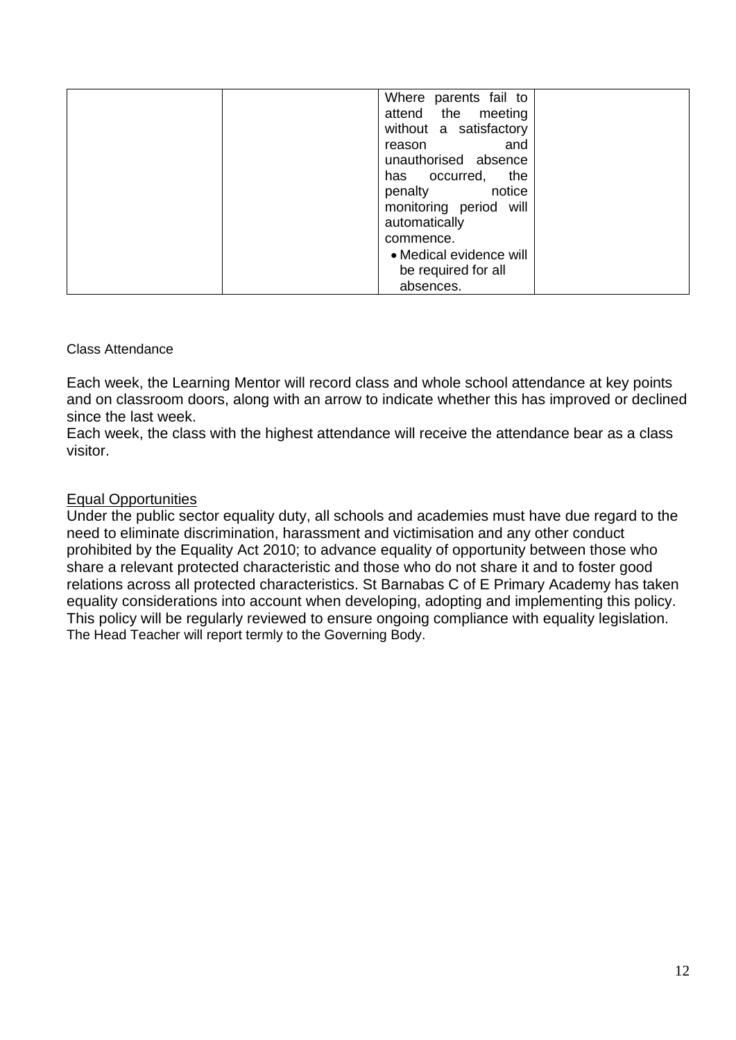| Where parents fail to   |
|-------------------------|
| attend the meeting      |
| without a satisfactory  |
| and<br>reason           |
| unauthorised absence    |
| the<br>has occurred,    |
| penalty notice          |
| monitoring period will  |
| automatically           |
| commence.               |
| • Medical evidence will |
| be required for all     |
| absences.               |

## Class Attendance

Each week, the Learning Mentor will record class and whole school attendance at key points and on classroom doors, along with an arrow to indicate whether this has improved or declined since the last week.

Each week, the class with the highest attendance will receive the attendance bear as a class visitor.

## Equal Opportunities

Under the public sector equality duty, all schools and academies must have due regard to the need to eliminate discrimination, harassment and victimisation and any other conduct prohibited by the Equality Act 2010; to advance equality of opportunity between those who share a relevant protected characteristic and those who do not share it and to foster good relations across all protected characteristics. St Barnabas C of E Primary Academy has taken equality considerations into account when developing, adopting and implementing this policy. This policy will be regularly reviewed to ensure ongoing compliance with equality legislation. The Head Teacher will report termly to the Governing Body.